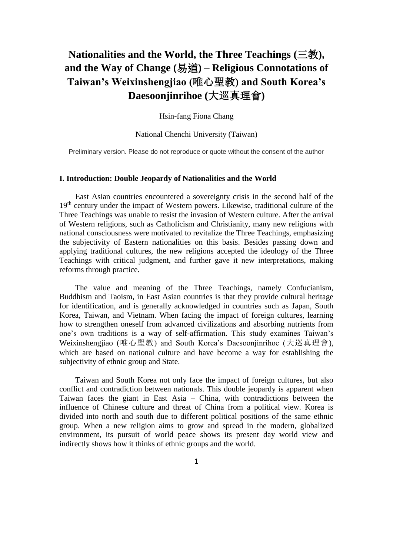# **Nationalities and the World, the Three Teachings (**三教**), and the Way of Change (**易道**) – Religious Connotations of Taiwan's Weixinshengjiao (**唯心聖教**) and South Korea's Daesoonjinrihoe (**大巡真理會**)**

Hsin-fang Fiona Chang

National Chenchi University (Taiwan)

Preliminary version. Please do not reproduce or quote without the consent of the author

### **I. Introduction: Double Jeopardy of Nationalities and the World**

East Asian countries encountered a sovereignty crisis in the second half of the 19<sup>th</sup> century under the impact of Western powers. Likewise, traditional culture of the Three Teachings was unable to resist the invasion of Western culture. After the arrival of Western religions, such as Catholicism and Christianity, many new religions with national consciousness were motivated to revitalize the Three Teachings, emphasizing the subjectivity of Eastern nationalities on this basis. Besides passing down and applying traditional cultures, the new religions accepted the ideology of the Three Teachings with critical judgment, and further gave it new interpretations, making reforms through practice.

The value and meaning of the Three Teachings, namely Confucianism, Buddhism and Taoism, in East Asian countries is that they provide cultural heritage for identification, and is generally acknowledged in countries such as Japan, South Korea, Taiwan, and Vietnam. When facing the impact of foreign cultures, learning how to strengthen oneself from advanced civilizations and absorbing nutrients from one's own traditions is a way of self-affirmation. This study examines Taiwan's Weixinshengjiao (唯心聖教) and South Korea's Daesoonjinrihoe (大巡真理會), which are based on national culture and have become a way for establishing the subjectivity of ethnic group and State.

Taiwan and South Korea not only face the impact of foreign cultures, but also conflict and contradiction between nationals. This double jeopardy is apparent when Taiwan faces the giant in East Asia – China, with contradictions between the influence of Chinese culture and threat of China from a political view. Korea is divided into north and south due to different political positions of the same ethnic group. When a new religion aims to grow and spread in the modern, globalized environment, its pursuit of world peace shows its present day world view and indirectly shows how it thinks of ethnic groups and the world.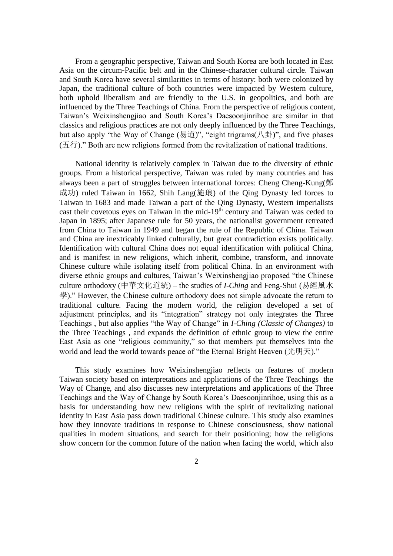From a geographic perspective, Taiwan and South Korea are both located in East Asia on the circum-Pacific belt and in the Chinese-character cultural circle. Taiwan and South Korea have several similarities in terms of history: both were colonized by Japan, the traditional culture of both countries were impacted by Western culture, both uphold liberalism and are friendly to the U.S. in geopolitics, and both are influenced by the Three Teachings of China. From the perspective of religious content, Taiwan's Weixinshengjiao and South Korea's Daesoonjinrihoe are similar in that classics and religious practices are not only deeply influenced by the Three Teachings, but also apply "the Way of Change (易道)", "eight trigrams( $(\n\downarrow \pm \uparrow)$ ", and five phases  $(1.6\text{ m})$ ." Both are new religions formed from the revitalization of national traditions.

National identity is relatively complex in Taiwan due to the diversity of ethnic groups. From a historical perspective, Taiwan was ruled by many countries and has always been a part of struggles between international forces: Cheng Cheng-Kung(鄭 成功) ruled Taiwan in 1662, Shih Lang(施琅) of the Qing Dynasty led forces to Taiwan in 1683 and made Taiwan a part of the Qing Dynasty, Western imperialists cast their covetous eyes on Taiwan in the mid-19th century and Taiwan was ceded to Japan in 1895; after Japanese rule for 50 years, the nationalist government retreated from China to Taiwan in 1949 and began the rule of the Republic of China. Taiwan and China are inextricably linked culturally, but great contradiction exists politically. Identification with cultural China does not equal identification with political China, and is manifest in new religions, which inherit, combine, transform, and innovate Chinese culture while isolating itself from political China. In an environment with diverse ethnic groups and cultures, Taiwan's Weixinshengjiao proposed "the Chinese culture orthodoxy (中華文化道統) – the studies of *I-Ching* and Feng-Shui (易經風水 學)." However, the Chinese culture orthodoxy does not simple advocate the return to traditional culture. Facing the modern world, the religion developed a set of adjustment principles, and its "integration" strategy not only integrates the Three Teachings , but also applies "the Way of Change" in *I-Ching (Classic of Changes)* to the Three Teachings , and expands the definition of ethnic group to view the entire East Asia as one "religious community," so that members put themselves into the world and lead the world towards peace of "the Eternal Bright Heaven (光明天)."

This study examines how Weixinshengjiao reflects on features of modern Taiwan society based on interpretations and applications of the Three Teachings the Way of Change, and also discusses new interpretations and applications of the Three Teachings and the Way of Change by South Korea's Daesoonjinrihoe, using this as a basis for understanding how new religions with the spirit of revitalizing national identity in East Asia pass down traditional Chinese culture. This study also examines how they innovate traditions in response to Chinese consciousness, show national qualities in modern situations, and search for their positioning; how the religions show concern for the common future of the nation when facing the world, which also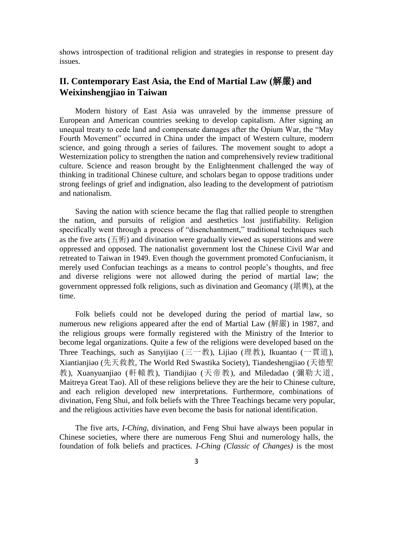shows introspection of traditional religion and strategies in response to present day issues.

## **II. Contemporary East Asia, the End of Martial Law (**解嚴**) and Weixinshengjiao in Taiwan**

Modern history of East Asia was unraveled by the immense pressure of European and American countries seeking to develop capitalism. After signing an unequal treaty to cede land and compensate damages after the Opium War, the "May Fourth Movement" occurred in China under the impact of Western culture, modern science, and going through a series of failures. The movement sought to adopt a Westernization policy to strengthen the nation and comprehensively review traditional culture. Science and reason brought by the Enlightenment challenged the way of thinking in traditional Chinese culture, and scholars began to oppose traditions under strong feelings of grief and indignation, also leading to the development of patriotism and nationalism.

Saving the nation with science became the flag that rallied people to strengthen the nation, and pursuits of religion and aesthetics lost justifiability. Religion specifically went through a process of "disenchantment," traditional techniques such as the five arts (五術) and divination were gradually viewed as superstitions and were oppressed and opposed. The nationalist government lost the Chinese Civil War and retreated to Taiwan in 1949. Even though the government promoted Confucianism, it merely used Confucian teachings as a means to control people's thoughts, and free and diverse religions were not allowed during the period of martial law; the government oppressed folk religions, such as divination and Geomancy (堪輿), at the time.

Folk beliefs could not be developed during the period of martial law, so numerous new religions appeared after the end of Martial Law (解嚴) in 1987, and the religious groups were formally registered with the Ministry of the Interior to become legal organizations. Quite a few of the religions were developed based on the Three Teachings, such as Sanyijiao (三一教), Lijiao (理教), Ikuantao (一貫道), Xiantianjiao (先天救教, The World Red Swastika Society), Tiandeshengjiao (天德聖 教), Xuanyuanjiao (軒轅教), Tiandijiao (天帝教), and Miledadao (彌勒大道, Maitreya Great Tao). All of these religions believe they are the heir to Chinese culture, and each religion developed new interpretations. Furthermore, combinations of divination, Feng Shui, and folk beliefs with the Three Teachings became very popular, and the religious activities have even become the basis for national identification.

The five arts, *I-Ching,* divination, and Feng Shui have always been popular in Chinese societies, where there are numerous Feng Shui and numerology halls, the foundation of folk beliefs and practices. *I-Ching (Classic of Changes)* is the most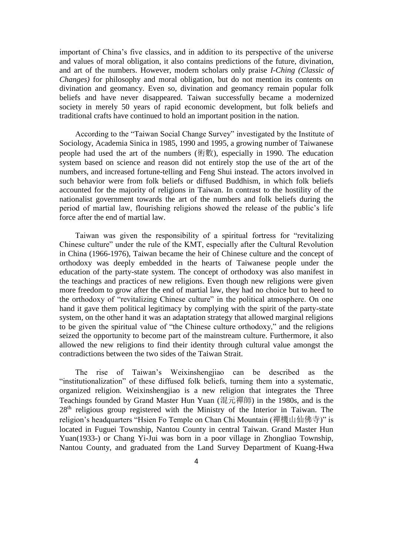important of China's five classics, and in addition to its perspective of the universe and values of moral obligation, it also contains predictions of the future, divination, and art of the numbers. However, modern scholars only praise *I-Ching (Classic of Changes)* for philosophy and moral obligation, but do not mention its contents on divination and geomancy. Even so, divination and geomancy remain popular folk beliefs and have never disappeared. Taiwan successfully became a modernized society in merely 50 years of rapid economic development, but folk beliefs and traditional crafts have continued to hold an important position in the nation.

According to the "Taiwan Social Change Survey" investigated by the Institute of Sociology, Academia Sinica in 1985, 1990 and 1995, a growing number of Taiwanese people had used the art of the numbers (術數), especially in 1990. The education system based on science and reason did not entirely stop the use of the art of the numbers, and increased fortune-telling and Feng Shui instead. The actors involved in such behavior were from folk beliefs or diffused Buddhism, in which folk beliefs accounted for the majority of religions in Taiwan. In contrast to the hostility of the nationalist government towards the art of the numbers and folk beliefs during the period of martial law, flourishing religions showed the release of the public's life force after the end of martial law.

Taiwan was given the responsibility of a spiritual fortress for "revitalizing Chinese culture" under the rule of the KMT, especially after the Cultural Revolution in China (1966-1976), Taiwan became the heir of Chinese culture and the concept of orthodoxy was deeply embedded in the hearts of Taiwanese people under the education of the party-state system. The concept of orthodoxy was also manifest in the teachings and practices of new religions. Even though new religions were given more freedom to grow after the end of martial law, they had no choice but to heed to the orthodoxy of "revitalizing Chinese culture" in the political atmosphere. On one hand it gave them political legitimacy by complying with the spirit of the party-state system, on the other hand it was an adaptation strategy that allowed marginal religions to be given the spiritual value of "the Chinese culture orthodoxy," and the religions seized the opportunity to become part of the mainstream culture. Furthermore, it also allowed the new religions to find their identity through cultural value amongst the contradictions between the two sides of the Taiwan Strait.

The rise of Taiwan's Weixinshengjiao can be described as the "institutionalization" of these diffused folk beliefs, turning them into a systematic, organized religion. Weixinshengjiao is a new religion that integrates the Three Teachings founded by Grand Master Hun Yuan (混元禪師) in the 1980s, and is the 28<sup>th</sup> religious group registered with the Ministry of the Interior in Taiwan. The religion's headquarters "Hsien Fo Temple on Chan Chi Mountain (禪機山仙佛寺)" is located in Fuguei Township, Nantou County in central Taiwan. Grand Master Hun Yuan(1933-) or Chang Yi-Jui was born in a poor village in Zhongliao Township, Nantou County, and graduated from the Land Survey Department of Kuang-Hwa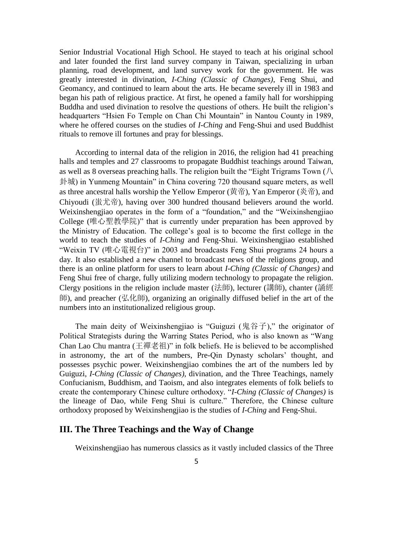Senior Industrial Vocational High School. He stayed to teach at his original school and later founded the first land survey company in Taiwan, specializing in urban planning, road development, and land survey work for the government. He was greatly interested in divination, *I-Ching (Classic of Changes)*, Feng Shui, and Geomancy, and continued to learn about the arts. He became severely ill in 1983 and began his path of religious practice. At first, he opened a family hall for worshipping Buddha and used divination to resolve the questions of others. He built the religion's headquarters "Hsien Fo Temple on Chan Chi Mountain" in Nantou County in 1989, where he offered courses on the studies of *I-Ching* and Feng-Shui and used Buddhist rituals to remove ill fortunes and pray for blessings.

According to internal data of the religion in 2016, the religion had 41 preaching halls and temples and 27 classrooms to propagate Buddhist teachings around Taiwan, as well as 8 overseas preaching halls. The religion built the "Eight Trigrams Town  $\left(\frac{1}{\sqrt{2}}\right)$ 卦城) in Yunmeng Mountain" in China covering 720 thousand square meters, as well as three ancestral halls worship the Yellow Emperor (黄帝), Yan Emperor (炎帝), and Chiyoudi (蚩尤帝), having over 300 hundred thousand believers around the world. Weixinshengjiao operates in the form of a "foundation," and the "Weixinshengjiao College (唯心聖教學院)" that is currently under preparation has been approved by the Ministry of Education. The college's goal is to become the first college in the world to teach the studies of *I-Ching* and Feng-Shui. Weixinshengjiao established "Weixin TV (唯心電視台)" in 2003 and broadcasts Feng Shui programs 24 hours a day. It also established a new channel to broadcast news of the religions group, and there is an online platform for users to learn about *I-Ching (Classic of Changes)* and Feng Shui free of charge, fully utilizing modern technology to propagate the religion. Clergy positions in the religion include master (法師), lecturer (講師), chanter (誦經 師), and preacher (弘化師), organizing an originally diffused belief in the art of the numbers into an institutionalized religious group.

The main deity of Weixinshengjiao is "Guiguzi (鬼谷子)," the originator of Political Strategists during the Warring States Period, who is also known as "Wang Chan Lao Chu mantra (王禪老祖)" in folk beliefs. He is believed to be accomplished in astronomy, the art of the numbers, Pre-Qin Dynasty scholars' thought, and possesses psychic power. Weixinshengjiao combines the art of the numbers led by Guiguzi, *I-Ching (Classic of Changes)*, divination, and the Three Teachings, namely Confucianism, Buddhism, and Taoism, and also integrates elements of folk beliefs to create the contemporary Chinese culture orthodoxy. "*I-Ching (Classic of Changes)* is the lineage of Dao, while Feng Shui is culture." Therefore, the Chinese culture orthodoxy proposed by Weixinshengjiao is the studies of *I-Ching* and Feng-Shui.

#### **III. The Three Teachings and the Way of Change**

Weixinshengjiao has numerous classics as it vastly included classics of the Three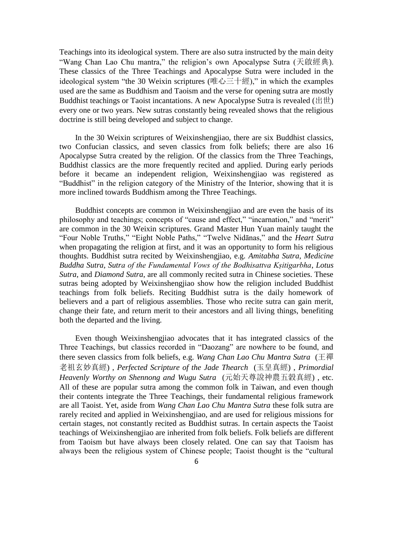Teachings into its ideological system. There are also sutra instructed by the main deity "Wang Chan Lao Chu mantra," the religion's own Apocalypse Sutra (天啟經典). These classics of the Three Teachings and Apocalypse Sutra were included in the ideological system "the 30 Weixin scriptures (唯心三十經)," in which the examples used are the same as Buddhism and Taoism and the verse for opening sutra are mostly Buddhist teachings or Taoist incantations. A new Apocalypse Sutra is revealed (出世) every one or two years. New sutras constantly being revealed shows that the religious doctrine is still being developed and subject to change.

In the 30 Weixin scriptures of Weixinshengjiao, there are six Buddhist classics, two Confucian classics, and seven classics from folk beliefs; there are also 16 Apocalypse Sutra created by the religion. Of the classics from the Three Teachings, Buddhist classics are the more frequently recited and applied. During early periods before it became an independent religion, Weixinshengjiao was registered as "Buddhist" in the religion category of the Ministry of the Interior, showing that it is more inclined towards Buddhism among the Three Teachings.

Buddhist concepts are common in Weixinshengjiao and are even the basis of its philosophy and teachings; concepts of "cause and effect," "incarnation," and "merit" are common in the 30 Weixin scriptures. Grand Master Hun Yuan mainly taught the "Four Noble Truths," "Eight Noble Paths," "Twelve Nidānas," and the *Heart Sutra* when propagating the religion at first, and it was an opportunity to form his religious thoughts. Buddhist sutra recited by Weixinshengjiao, e.g. *Amitabha Sutra*, *Medicine Buddha Sutra*, *Sutra of the Fundamental Vows of the Bodhisattva Kṣitigarbha*, *Lotus Sutra*, and *Diamond Sutra*, are all commonly recited sutra in Chinese societies. These sutras being adopted by Weixinshengjiao show how the religion included Buddhist teachings from folk beliefs. Reciting Buddhist sutra is the daily homework of believers and a part of religious assemblies. Those who recite sutra can gain merit, change their fate, and return merit to their ancestors and all living things, benefiting both the departed and the living.

Even though Weixinshengjiao advocates that it has integrated classics of the Three Teachings, but classics recorded in "Daozang" are nowhere to be found, and there seven classics from folk beliefs, e.g. *Wang Chan Lao Chu Mantra Sutra* (王禪 老祖玄妙真經) , *Perfected Scripture of the Jade Thearch* (玉皇真經) , *Primordial Heavenly Worthy on Shennong and Wugu Sutra* (元始天尊說神農五穀真經) , etc. All of these are popular sutra among the common folk in Taiwan, and even though their contents integrate the Three Teachings, their fundamental religious framework are all Taoist. Yet, aside from *Wang Chan Lao Chu Mantra Sutra* these folk sutra are rarely recited and applied in Weixinshengjiao, and are used for religious missions for certain stages, not constantly recited as Buddhist sutras. In certain aspects the Taoist teachings of Weixinshengjiao are inherited from folk beliefs. Folk beliefs are different from Taoism but have always been closely related. One can say that Taoism has always been the religious system of Chinese people; Taoist thought is the "cultural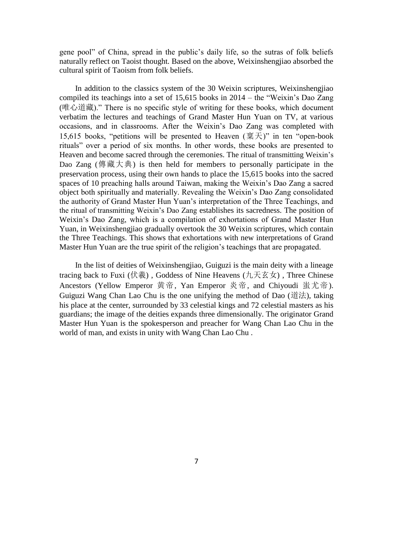gene pool" of China, spread in the public's daily life, so the sutras of folk beliefs naturally reflect on Taoist thought. Based on the above, Weixinshengjiao absorbed the cultural spirit of Taoism from folk beliefs.

In addition to the classics system of the 30 Weixin scriptures, Weixinshengjiao compiled its teachings into a set of 15,615 books in 2014 – the "Weixin's Dao Zang (唯心道藏)." There is no specific style of writing for these books, which document verbatim the lectures and teachings of Grand Master Hun Yuan on TV, at various occasions, and in classrooms. After the Weixin's Dao Zang was completed with 15,615 books, "petitions will be presented to Heaven  $(\overline{\mathbb{R}}\,\overline{\mathcal{F}})$ " in ten "open-book rituals" over a period of six months. In other words, these books are presented to Heaven and become sacred through the ceremonies. The ritual of transmitting Weixin's Dao Zang (傳藏大典) is then held for members to personally participate in the preservation process, using their own hands to place the 15,615 books into the sacred spaces of 10 preaching halls around Taiwan, making the Weixin's Dao Zang a sacred object both spiritually and materially. Revealing the Weixin's Dao Zang consolidated the authority of Grand Master Hun Yuan's interpretation of the Three Teachings, and the ritual of transmitting Weixin's Dao Zang establishes its sacredness. The position of Weixin's Dao Zang, which is a compilation of exhortations of Grand Master Hun Yuan, in Weixinshengjiao gradually overtook the 30 Weixin scriptures, which contain the Three Teachings. This shows that exhortations with new interpretations of Grand Master Hun Yuan are the true spirit of the religion's teachings that are propagated.

In the list of deities of Weixinshengjiao, Guiguzi is the main deity with a lineage tracing back to Fuxi (伏羲) , Goddess of Nine Heavens (九天玄女) , Three Chinese Ancestors (Yellow Emperor 黄帝, Yan Emperor 炎帝, and Chiyoudi 蚩尤帝). Guiguzi Wang Chan Lao Chu is the one unifying the method of Dao (道法), taking his place at the center, surrounded by 33 celestial kings and 72 celestial masters as his guardians; the image of the deities expands three dimensionally. The originator Grand Master Hun Yuan is the spokesperson and preacher for Wang Chan Lao Chu in the world of man, and exists in unity with Wang Chan Lao Chu .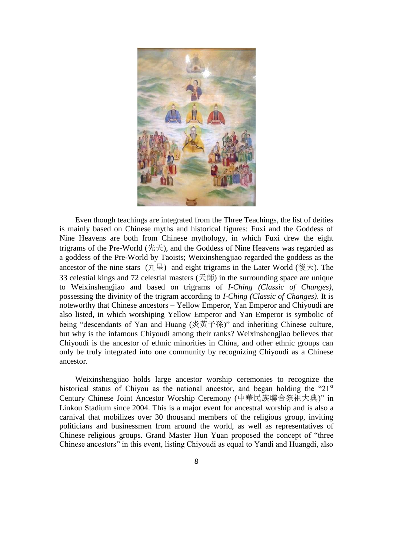

Even though teachings are integrated from the Three Teachings, the list of deities is mainly based on Chinese myths and historical figures: Fuxi and the Goddess of Nine Heavens are both from Chinese mythology, in which Fuxi drew the eight trigrams of the Pre-World (先天), and the Goddess of Nine Heavens was regarded as a goddess of the Pre-World by Taoists; Weixinshengjiao regarded the goddess as the ancestor of the nine stars (九星) and eight trigrams in the Later World (後天). The 33 celestial kings and 72 celestial masters (天師) in the surrounding space are unique to Weixinshengjiao and based on trigrams of *I-Ching (Classic of Changes)*, possessing the divinity of the trigram according to *I-Ching (Classic of Changes)*. It is noteworthy that Chinese ancestors – Yellow Emperor, Yan Emperor and Chiyoudi are also listed, in which worshiping Yellow Emperor and Yan Emperor is symbolic of being "descendants of Yan and Huang (炎黃子孫)" and inheriting Chinese culture, but why is the infamous Chiyoudi among their ranks? Weixinshengjiao believes that Chiyoudi is the ancestor of ethnic minorities in China, and other ethnic groups can only be truly integrated into one community by recognizing Chiyoudi as a Chinese ancestor.

Weixinshengjiao holds large ancestor worship ceremonies to recognize the historical status of Chiyou as the national ancestor, and began holding the " $21<sup>st</sup>$ Century Chinese Joint Ancestor Worship Ceremony (中華民族聯合祭祖大典)" in Linkou Stadium since 2004. This is a major event for ancestral worship and is also a carnival that mobilizes over 30 thousand members of the religious group, inviting politicians and businessmen from around the world, as well as representatives of Chinese religious groups. Grand Master Hun Yuan proposed the concept of "three Chinese ancestors" in this event, listing Chiyoudi as equal to Yandi and Huangdi, also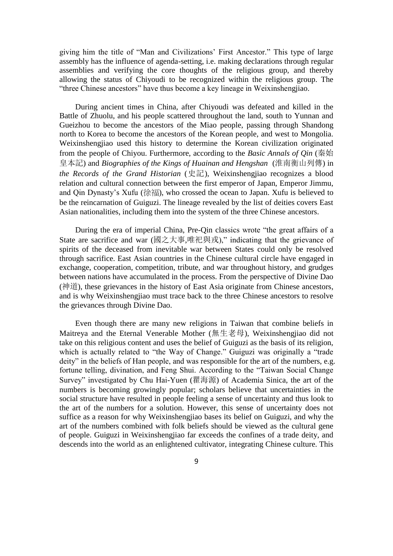giving him the title of "Man and Civilizations' First Ancestor." This type of large assembly has the influence of agenda-setting, i.e. making declarations through regular assemblies and verifying the core thoughts of the religious group, and thereby allowing the status of Chiyoudi to be recognized within the religious group. The "three Chinese ancestors" have thus become a key lineage in Weixinshengjiao.

During ancient times in China, after Chiyoudi was defeated and killed in the Battle of Zhuolu, and his people scattered throughout the land, south to Yunnan and Gueizhou to become the ancestors of the Miao people, passing through Shandong north to Korea to become the ancestors of the Korean people, and west to Mongolia. Weixinshengjiao used this history to determine the Korean civilization originated from the people of Chiyou. Furthermore, according to the *Basic Annals of Qin* (秦始 皇本記) and *Biographies of the Kings of Huainan and Hengshan* (淮南衡山列傳) in *the Records of the Grand Historian* (史記), Weixinshengjiao recognizes a blood relation and cultural connection between the first emperor of Japan, Emperor Jimmu, and Qin Dynasty's Xufu (徐福), who crossed the ocean to Japan. Xufu is believed to be the reincarnation of Guiguzi. The lineage revealed by the list of deities covers East Asian nationalities, including them into the system of the three Chinese ancestors.

During the era of imperial China, Pre-Qin classics wrote "the great affairs of a State are sacrifice and war (國之大事,唯祀與戎)," indicating that the grievance of spirits of the deceased from inevitable war between States could only be resolved through sacrifice. East Asian countries in the Chinese cultural circle have engaged in exchange, cooperation, competition, tribute, and war throughout history, and grudges between nations have accumulated in the process. From the perspective of Divine Dao (神道), these grievances in the history of East Asia originate from Chinese ancestors, and is why Weixinshengjiao must trace back to the three Chinese ancestors to resolve the grievances through Divine Dao.

Even though there are many new religions in Taiwan that combine beliefs in Maitreya and the Eternal Venerable Mother (無生老母), Weixinshengjiao did not take on this religious content and uses the belief of Guiguzi as the basis of its religion, which is actually related to "the Way of Change." Guiguzi was originally a "trade deity" in the beliefs of Han people, and was responsible for the art of the numbers, e.g. fortune telling, divination, and Feng Shui. According to the "Taiwan Social Change Survey" investigated by Chu Hai-Yuen (瞿海源) of Academia Sinica, the art of the numbers is becoming growingly popular; scholars believe that uncertainties in the social structure have resulted in people feeling a sense of uncertainty and thus look to the art of the numbers for a solution. However, this sense of uncertainty does not suffice as a reason for why Weixinshengjiao bases its belief on Guiguzi, and why the art of the numbers combined with folk beliefs should be viewed as the cultural gene of people. Guiguzi in Weixinshengjiao far exceeds the confines of a trade deity, and descends into the world as an enlightened cultivator, integrating Chinese culture. This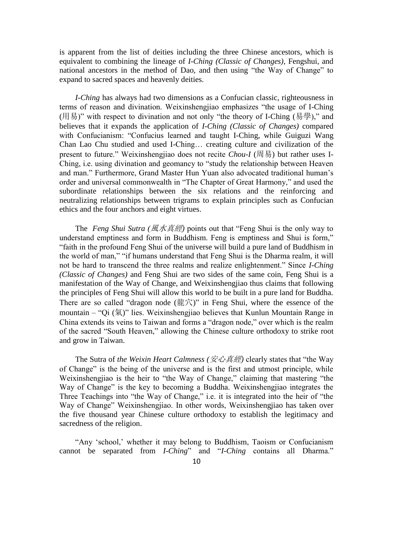is apparent from the list of deities including the three Chinese ancestors, which is equivalent to combining the lineage of *I-Ching (Classic of Changes)*, Fengshui, and national ancestors in the method of Dao, and then using "the Way of Change" to expand to sacred spaces and heavenly deities.

*I-Ching* has always had two dimensions as a Confucian classic, righteousness in terms of reason and divination. Weixinshengjiao emphasizes "the usage of I-Ching (用易)" with respect to divination and not only "the theory of I-Ching (易學)," and believes that it expands the application of *I-Ching (Classic of Changes)* compared with Confucianism: "Confucius learned and taught I-Ching, while Guiguzi Wang Chan Lao Chu studied and used I-Ching… creating culture and civilization of the present to future." Weixinshengjiao does not recite *Chou-I* (周易) but rather uses I-Ching, i.e. using divination and geomancy to "study the relationship between Heaven and man." Furthermore, Grand Master Hun Yuan also advocated traditional human's order and universal commonwealth in "The Chapter of Great Harmony," and used the subordinate relationships between the six relations and the reinforcing and neutralizing relationships between trigrams to explain principles such as Confucian ethics and the four anchors and eight virtues.

The *Feng Shui Sutra (*風水真經*)* points out that "Feng Shui is the only way to understand emptiness and form in Buddhism. Feng is emptiness and Shui is form," "faith in the profound Feng Shui of the universe will build a pure land of Buddhism in the world of man," "if humans understand that Feng Shui is the Dharma realm, it will not be hard to transcend the three realms and realize enlightenment." Since *I-Ching (Classic of Changes)* and Feng Shui are two sides of the same coin, Feng Shui is a manifestation of the Way of Change, and Weixinshengjiao thus claims that following the principles of Feng Shui will allow this world to be built in a pure land for Buddha. There are so called "dragon node (龍穴)" in Feng Shui, where the essence of the mountain – "Qi (氣)" lies. Weixinshengjiao believes that Kunlun Mountain Range in China extends its veins to Taiwan and forms a "dragon node," over which is the realm of the sacred "South Heaven," allowing the Chinese culture orthodoxy to strike root and grow in Taiwan.

The Sutra of *the Weixin Heart Calmness (*安心真經*)* clearly states that "the Way of Change" is the being of the universe and is the first and utmost principle, while Weixinshengjiao is the heir to "the Way of Change," claiming that mastering "the Way of Change" is the key to becoming a Buddha. Weixinshengjiao integrates the Three Teachings into "the Way of Change," i.e. it is integrated into the heir of "the Way of Change" Weixinshengjiao. In other words, Weixinshengjiao has taken over the five thousand year Chinese culture orthodoxy to establish the legitimacy and sacredness of the religion.

"Any 'school,' whether it may belong to Buddhism, Taoism or Confucianism cannot be separated from *I-Ching*" and "*I-Ching* contains all Dharma."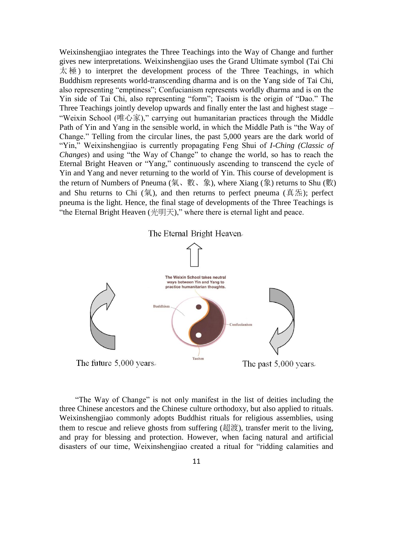Weixinshengjiao integrates the Three Teachings into the Way of Change and further gives new interpretations. Weixinshengjiao uses the Grand Ultimate symbol (Tai Chi  $\overline{\mathcal{K}}$   $\overline{\mathcal{W}}$ ) to interpret the development process of the Three Teachings, in which Buddhism represents world-transcending dharma and is on the Yang side of Tai Chi, also representing "emptiness"; Confucianism represents worldly dharma and is on the Yin side of Tai Chi, also representing "form"; Taoism is the origin of "Dao." The Three Teachings jointly develop upwards and finally enter the last and highest stage – "Weixin School (唯心家)," carrying out humanitarian practices through the Middle Path of Yin and Yang in the sensible world, in which the Middle Path is "the Way of Change." Telling from the circular lines, the past 5,000 years are the dark world of "Yin," Weixinshengjiao is currently propagating Feng Shui of *I-Ching (Classic of Changes*) and using "the Way of Change" to change the world, so has to reach the Eternal Bright Heaven or "Yang," continuously ascending to transcend the cycle of Yin and Yang and never returning to the world of Yin. This course of development is the return of Numbers of Pneuma (氣、數、象), where Xiang (象) returns to Shu (數) and Shu returns to Chi  $(\overline{\mathcal{R}})$ , and then returns to perfect pneuma ( $\overline{\mathfrak{A}}\mathcal{R}$ ); perfect pneuma is the light. Hence, the final stage of developments of the Three Teachings is "the Eternal Bright Heaven (光明天)," where there is eternal light and peace.





"The Way of Change" is not only manifest in the list of deities including the three Chinese ancestors and the Chinese culture orthodoxy, but also applied to rituals. Weixinshengjiao commonly adopts Buddhist rituals for religious assemblies, using them to rescue and relieve ghosts from suffering (超渡), transfer merit to the living, and pray for blessing and protection. However, when facing natural and artificial disasters of our time, Weixinshengjiao created a ritual for "ridding calamities and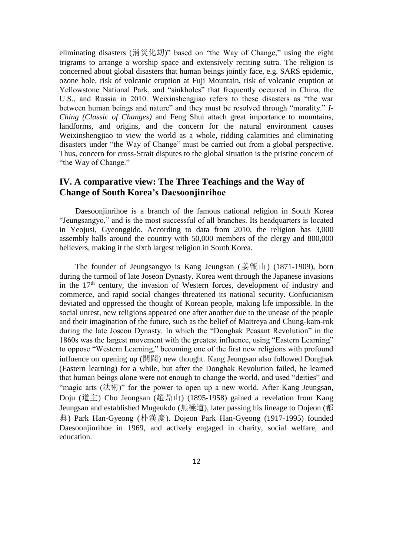eliminating disasters (消災化刧)" based on "the Way of Change," using the eight trigrams to arrange a worship space and extensively reciting sutra. The religion is concerned about global disasters that human beings jointly face, e.g. SARS epidemic, ozone hole, risk of volcanic eruption at Fuji Mountain, risk of volcanic eruption at Yellowstone National Park, and "sinkholes" that frequently occurred in China, the U.S., and Russia in 2010. Weixinshengjiao refers to these disasters as "the war between human beings and nature" and they must be resolved through "morality." *I-Ching (Classic of Changes)* and Feng Shui attach great importance to mountains, landforms, and origins, and the concern for the natural environment causes Weixinshengjiao to view the world as a whole, ridding calamities and eliminating disasters under "the Way of Change" must be carried out from a global perspective. Thus, concern for cross-Strait disputes to the global situation is the pristine concern of "the Way of Change."

## **IV. A comparative view: The Three Teachings and the Way of Change of South Korea's Daesoonjinrihoe**

Daesoonjinrihoe is a branch of the famous national religion in South Korea "Jeungsangyo," and is the most successful of all branches. Its headquarters is located in Yeojusi, Gyeonggido. According to data from 2010, the religion has 3,000 assembly halls around the country with 50,000 members of the clergy and 800,000 believers, making it the sixth largest religion in South Korea.

The founder of Jeungsangyo is Kang Jeungsan (姜甑山) (1871-1909), born during the turmoil of late Joseon Dynasty. Korea went through the Japanese invasions in the  $17<sup>th</sup>$  century, the invasion of Western forces, development of industry and commerce, and rapid social changes threatened its national security. Confucianism deviated and oppressed the thought of Korean people, making life impossible. In the social unrest, new religions appeared one after another due to the unease of the people and their imagination of the future, such as the belief of Maitreya and Chung-kam-rok during the late Joseon Dynasty. In which the "Donghak Peasant Revolution" in the 1860s was the largest movement with the greatest influence, using "Eastern Learning" to oppose "Western Learning," becoming one of the first new religions with profound influence on opening up (開闢) new thought. Kang Jeungsan also followed Donghak (Eastern learning) for a while, but after the Donghak Revolution failed, he learned that human beings alone were not enough to change the world, and used "deities" and "magic arts (法術)" for the power to open up a new world. After Kang Jeungsan, Doju (道主) Cho Jeongsan (趙鼎山) (1895-1958) gained a revelation from Kang Jeungsan and established Mugeukdo (無極道), later passing his lineage to Dojeon (都 典) Park Han-Gyeong (朴漢慶). Dojeon Park Han-Gyeong (1917-1995) founded Daesoonjinrihoe in 1969, and actively engaged in charity, social welfare, and education.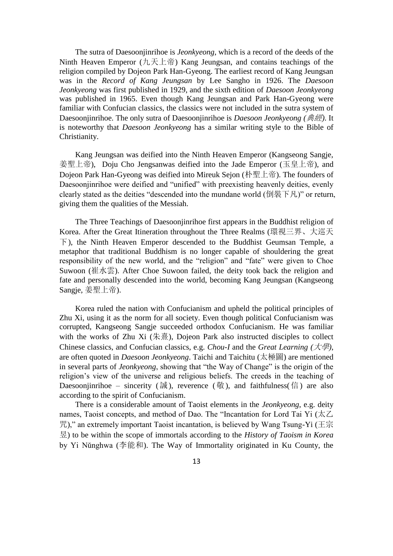The sutra of Daesoonjinrihoe is *Jeonkyeong*, which is a record of the deeds of the Ninth Heaven Emperor (九天上帝) Kang Jeungsan, and contains teachings of the religion compiled by Dojeon Park Han-Gyeong. The earliest record of Kang Jeungsan was in the *Record of Kang Jeungsan* by Lee Sangho in 1926. The *Daesoon Jeonkyeong* was first published in 1929, and the sixth edition of *Daesoon Jeonkyeong* was published in 1965. Even though Kang Jeungsan and Park Han-Gyeong were familiar with Confucian classics, the classics were not included in the sutra system of Daesoonjinrihoe. The only sutra of Daesoonjinrihoe is *Daesoon Jeonkyeong (*典經*)*. It is noteworthy that *Daesoon Jeonkyeong* has a similar writing style to the Bible of Christianity.

Kang Jeungsan was deified into the Ninth Heaven Emperor (Kangseong Sangje, 姜聖上帝), Doju Cho Jengsanwas deified into the Jade Emperor (玉皇上帝), and Dojeon Park Han-Gyeong was deified into Mireuk Sejon (朴聖上帝). The founders of Daesoonjinrihoe were deified and "unified" with preexisting heavenly deities, evenly clearly stated as the deities "descended into the mundane world (倒裝下凡)" or return, giving them the qualities of the Messiah.

The Three Teachings of Daesoonjinrihoe first appears in the Buddhist religion of Korea. After the Great Itineration throughout the Three Realms (環視三界、大巡天 下), the Ninth Heaven Emperor descended to the Buddhist Geumsan Temple, a metaphor that traditional Buddhism is no longer capable of shouldering the great responsibility of the new world, and the "religion" and "fate" were given to Choe Suwoon (崔水雲). After Choe Suwoon failed, the deity took back the religion and fate and personally descended into the world, becoming Kang Jeungsan (Kangseong Sangje, 姜聖上帝).

Korea ruled the nation with Confucianism and upheld the political principles of Zhu Xi, using it as the norm for all society. Even though political Confucianism was corrupted, Kangseong Sangje succeeded orthodox Confucianism. He was familiar with the works of Zhu Xi (朱熹), Dojeon Park also instructed disciples to collect Chinese classics, and Confucian classics, e.g. *Chou-I* and the *Great Learning (*大學*)*, are often quoted in *Daesoon Jeonkyeong*. Taichi and Taichitu (太極圖) are mentioned in several parts of *Jeonkyeong*, showing that "the Way of Change" is the origin of the religion's view of the universe and religious beliefs. The creeds in the teaching of Daesoonjinrihoe – sincerity (誠), reverence (敬), and faithfulness(信) are also according to the spirit of Confucianism.

There is a considerable amount of Taoist elements in the *Jeonkyeong*, e.g. deity names, Taoist concepts, and method of Dao. The "Incantation for Lord Tai Yi (太乙 咒)," an extremely important Taoist incantation, is believed by Wang Tsung-Yi (王宗 昱) to be within the scope of immortals according to the *History of Taoism in Korea* by Yi Nŭnghwa (李能和). The Way of Immortality originated in Ku County, the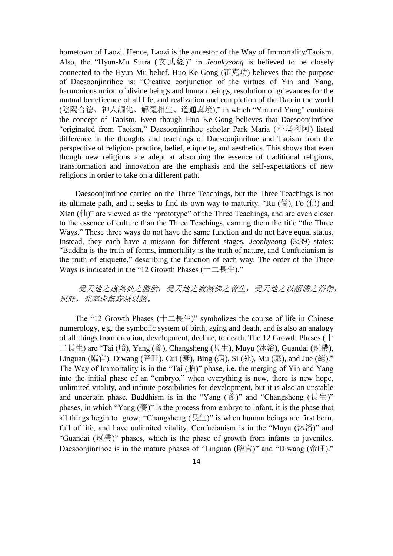hometown of Laozi. Hence, Laozi is the ancestor of the Way of Immortality/Taoism. Also, the "Hyun-Mu Sutra (玄武經)" in *Jeonkyeong* is believed to be closely connected to the Hyun-Mu belief. Huo Ke-Gong (霍克功) believes that the purpose of Daesoonjinrihoe is: "Creative conjunction of the virtues of Yin and Yang, harmonious union of divine beings and human beings, resolution of grievances for the mutual beneficence of all life, and realization and completion of the Dao in the world (陰陽合德、神人調化、解冤相生、道通真境)," in which "Yin and Yang" contains the concept of Taoism. Even though Huo Ke-Gong believes that Daesoonjinrihoe "originated from Taoism," Daesoonjinrihoe scholar Park Maria (朴瑪利阿) listed difference in the thoughts and teachings of Daesoonjinrihoe and Taoism from the perspective of religious practice, belief, etiquette, and aesthetics. This shows that even though new religions are adept at absorbing the essence of traditional religions, transformation and innovation are the emphasis and the self-expectations of new religions in order to take on a different path.

Daesoonjinrihoe carried on the Three Teachings, but the Three Teachings is not its ultimate path, and it seeks to find its own way to maturity. "Ru (儒), Fo (佛) and Xian  $(\ln)$ " are viewed as the "prototype" of the Three Teachings, and are even closer to the essence of culture than the Three Teachings, earning them the title "the Three Ways." These three ways do not have the same function and do not have equal status. Instead, they each have a mission for different stages. *Jeonkyeong* (3:39) states: "Buddha is the truth of forms, immortality is the truth of nature, and Confucianism is the truth of etiquette," describing the function of each way. The order of the Three Ways is indicated in the "12 Growth Phases (十二長生)."

## 受天地之虛無仙之胞胎,受天地之寂滅佛之養生,受天地之以詔儒之浴帶, 冠旺,兜率虛無寂滅以詔。

The "12 Growth Phases  $(\pm \pm \frac{1}{2})$ " symbolizes the course of life in Chinese numerology, e.g. the symbolic system of birth, aging and death, and is also an analogy of all things from creation, development, decline, to death. The 12 Growth Phases (十 二長生) are "Tai (胎), Yang (養), Changsheng (長生), Muyu (沐浴), Guandai (冠帶), Linguan (臨官), Diwang (帝旺), Cui (衰), Bing (病), Si (死), Mu (墓), and Jue (絕)." The Way of Immortality is in the "Tai  $(\frac{1}{10})$ " phase, i.e. the merging of Yin and Yang into the initial phase of an "embryo," when everything is new, there is new hope, unlimited vitality, and infinite possibilities for development, but it is also an unstable and uncertain phase. Buddhism is in the "Yang (養)" and "Changsheng (長生)" phases, in which "Yang  $(\ddot{\hat{\xi}})$ " is the process from embryo to infant, it is the phase that all things begin to grow; "Changsheng  $(E \pm)$ " is when human beings are first born, full of life, and have unlimited vitality. Confucianism is in the "Muyu (沐浴)" and "Guandai (冠帶)" phases, which is the phase of growth from infants to juveniles. Daesoonjinrihoe is in the mature phases of "Linguan (臨官)" and "Diwang (帝旺)."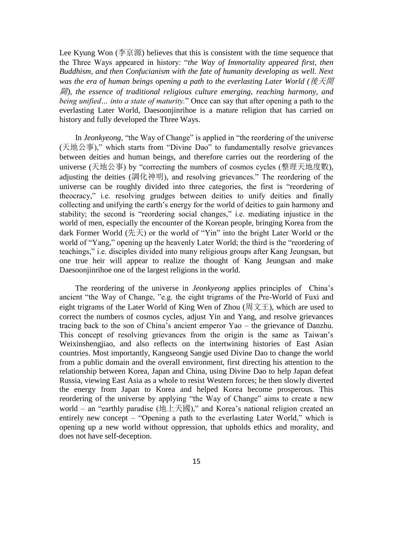Lee Kyung Won (李京源) believes that this is consistent with the time sequence that the Three Ways appeared in history: "*the Way of Immortality appeared first, then Buddhism, and then Confucianism with the fate of humanity developing as well. Next was the era of human beings opening a path to the everlasting Later World (*後天開 闢*), the essence of traditional religious culture emerging, reaching harmony, and being unified… into a state of maturity.*" Once can say that after opening a path to the everlasting Later World, Daesoonjinrihoe is a mature religion that has carried on history and fully developed the Three Ways.

In *Jeonkyeong*, "the Way of Change" is applied in "the reordering of the universe (天地公事)," which starts from "Divine Dao" to fundamentally resolve grievances between deities and human beings, and therefore carries out the reordering of the universe (天地公事) by "correcting the numbers of cosmos cycles (整理天地度數), adjusting the deities (調化神明), and resolving grievances." The reordering of the universe can be roughly divided into three categories, the first is "reordering of theocracy," i.e. resolving grudges between deities to unify deities and finally collecting and unifying the earth's energy for the world of deities to gain harmony and stability; the second is "reordering social changes," i.e. mediating injustice in the world of men, especially the encounter of the Korean people, bringing Korea from the dark Former World (先天) or the world of "Yin" into the bright Later World or the world of "Yang," opening up the heavenly Later World; the third is the "reordering of teachings," i.e. disciples divided into many religious groups after Kang Jeungsan, but one true heir will appear to realize the thought of Kang Jeungsan and make Daesoonjinrihoe one of the largest religions in the world.

The reordering of the universe in *Jeonkyeong* applies principles of China's ancient "the Way of Change, "e.g. the eight trigrams of the Pre-World of Fuxi and eight trigrams of the Later World of King Wen of Zhou (周文王), which are used to correct the numbers of cosmos cycles, adjust Yin and Yang, and resolve grievances tracing back to the son of China's ancient emperor Yao – the grievance of Danzhu. This concept of resolving grievances from the origin is the same as Taiwan's Weixinshengjiao, and also reflects on the intertwining histories of East Asian countries. Most importantly, Kangseong Sangje used Divine Dao to change the world from a public domain and the overall environment, first directing his attention to the relationship between Korea, Japan and China, using Divine Dao to help Japan defeat Russia, viewing East Asia as a whole to resist Western forces; he then slowly diverted the energy from Japan to Korea and helped Korea become prosperous. This reordering of the universe by applying "the Way of Change" aims to create a new world – an "earthly paradise (地上天國)," and Korea's national religion created an entirely new concept – "Opening a path to the everlasting Later World," which is opening up a new world without oppression, that upholds ethics and morality, and does not have self-deception.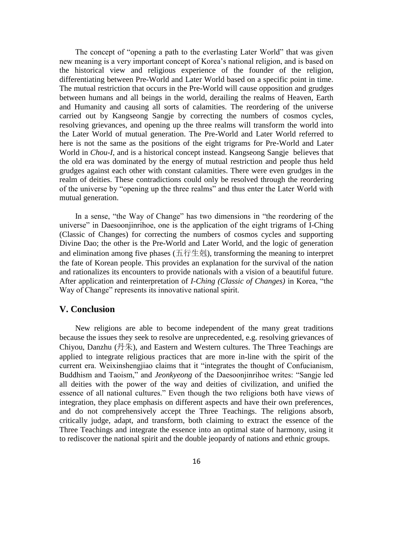The concept of "opening a path to the everlasting Later World" that was given new meaning is a very important concept of Korea's national religion, and is based on the historical view and religious experience of the founder of the religion, differentiating between Pre-World and Later World based on a specific point in time. The mutual restriction that occurs in the Pre-World will cause opposition and grudges between humans and all beings in the world, derailing the realms of Heaven, Earth and Humanity and causing all sorts of calamities. The reordering of the universe carried out by Kangseong Sangje by correcting the numbers of cosmos cycles, resolving grievances, and opening up the three realms will transform the world into the Later World of mutual generation. The Pre-World and Later World referred to here is not the same as the positions of the eight trigrams for Pre-World and Later World in *Chou-I*, and is a historical concept instead. Kangseong Sangje believes that the old era was dominated by the energy of mutual restriction and people thus held grudges against each other with constant calamities. There were even grudges in the realm of deities. These contradictions could only be resolved through the reordering of the universe by "opening up the three realms" and thus enter the Later World with mutual generation.

In a sense, "the Way of Change" has two dimensions in "the reordering of the universe" in Daesoonjinrihoe, one is the application of the eight trigrams of I-Ching (Classic of Changes) for correcting the numbers of cosmos cycles and supporting Divine Dao; the other is the Pre-World and Later World, and the logic of generation and elimination among five phases (五行生剋), transforming the meaning to interpret the fate of Korean people. This provides an explanation for the survival of the nation and rationalizes its encounters to provide nationals with a vision of a beautiful future. After application and reinterpretation of *I-Ching (Classic of Changes)* in Korea, "the Way of Change" represents its innovative national spirit.

#### **V. Conclusion**

New religions are able to become independent of the many great traditions because the issues they seek to resolve are unprecedented, e.g. resolving grievances of Chiyou, Danzhu (丹朱), and Eastern and Western cultures. The Three Teachings are applied to integrate religious practices that are more in-line with the spirit of the current era. Weixinshengjiao claims that it "integrates the thought of Confucianism, Buddhism and Taoism," and *Jeonkyeong* of the Daesoonjinrihoe writes: "Sangje led all deities with the power of the way and deities of civilization, and unified the essence of all national cultures." Even though the two religions both have views of integration, they place emphasis on different aspects and have their own preferences, and do not comprehensively accept the Three Teachings. The religions absorb, critically judge, adapt, and transform, both claiming to extract the essence of the Three Teachings and integrate the essence into an optimal state of harmony, using it to rediscover the national spirit and the double jeopardy of nations and ethnic groups.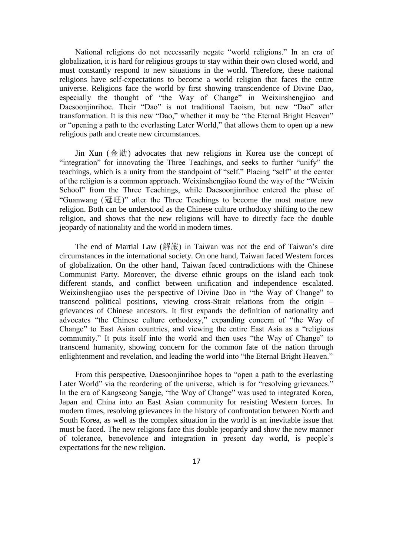National religions do not necessarily negate "world religions." In an era of globalization, it is hard for religious groups to stay within their own closed world, and must constantly respond to new situations in the world. Therefore, these national religions have self-expectations to become a world religion that faces the entire universe. Religions face the world by first showing transcendence of Divine Dao, especially the thought of "the Way of Change" in Weixinshengjiao and Daesoonjinrihoe. Their "Dao" is not traditional Taoism, but new "Dao" after transformation. It is this new "Dao," whether it may be "the Eternal Bright Heaven" or "opening a path to the everlasting Later World," that allows them to open up a new religious path and create new circumstances.

Jin Xun (金勛) advocates that new religions in Korea use the concept of "integration" for innovating the Three Teachings, and seeks to further "unify" the teachings, which is a unity from the standpoint of "self." Placing "self" at the center of the religion is a common approach. Weixinshengjiao found the way of the "Weixin School" from the Three Teachings, while Daesoonjinrihoe entered the phase of "Guanwang  $(\mathbb{H} \mathbb{H})$ " after the Three Teachings to become the most mature new religion. Both can be understood as the Chinese culture orthodoxy shifting to the new religion, and shows that the new religions will have to directly face the double jeopardy of nationality and the world in modern times.

The end of Martial Law (解嚴) in Taiwan was not the end of Taiwan's dire circumstances in the international society. On one hand, Taiwan faced Western forces of globalization. On the other hand, Taiwan faced contradictions with the Chinese Communist Party. Moreover, the diverse ethnic groups on the island each took different stands, and conflict between unification and independence escalated. Weixinshengjiao uses the perspective of Divine Dao in "the Way of Change" to transcend political positions, viewing cross-Strait relations from the origin – grievances of Chinese ancestors. It first expands the definition of nationality and advocates "the Chinese culture orthodoxy," expanding concern of "the Way of Change" to East Asian countries, and viewing the entire East Asia as a "religious community." It puts itself into the world and then uses "the Way of Change" to transcend humanity, showing concern for the common fate of the nation through enlightenment and revelation, and leading the world into "the Eternal Bright Heaven."

From this perspective, Daesoonjinrihoe hopes to "open a path to the everlasting Later World" via the reordering of the universe, which is for "resolving grievances." In the era of Kangseong Sangje, "the Way of Change" was used to integrated Korea, Japan and China into an East Asian community for resisting Western forces. In modern times, resolving grievances in the history of confrontation between North and South Korea, as well as the complex situation in the world is an inevitable issue that must be faced. The new religions face this double jeopardy and show the new manner of tolerance, benevolence and integration in present day world, is people's expectations for the new religion.